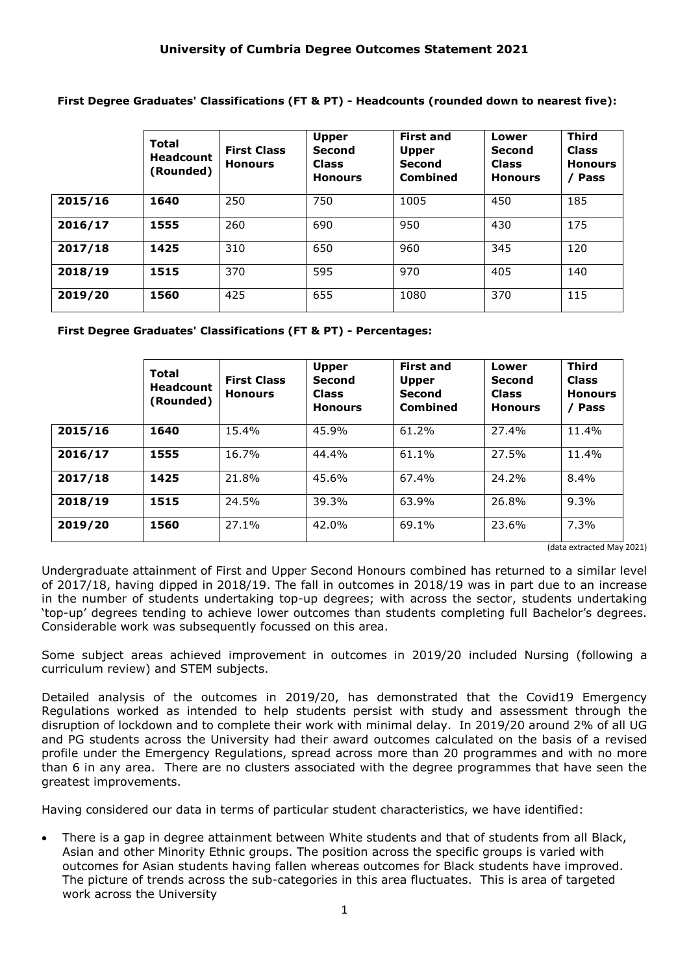**First Degree Graduates' Classifications (FT & PT) - Headcounts (rounded down to nearest five):**

|         | <b>Total</b><br><b>Headcount</b><br>(Rounded) | <b>First Class</b><br><b>Honours</b> | <b>Upper</b><br><b>Second</b><br><b>Class</b><br><b>Honours</b> | <b>First and</b><br><b>Upper</b><br>Second<br>Combined | Lower<br><b>Second</b><br><b>Class</b><br><b>Honours</b> | <b>Third</b><br><b>Class</b><br><b>Honours</b><br><b>Pass</b> |
|---------|-----------------------------------------------|--------------------------------------|-----------------------------------------------------------------|--------------------------------------------------------|----------------------------------------------------------|---------------------------------------------------------------|
| 2015/16 | 1640                                          | 250                                  | 750                                                             | 1005                                                   | 450                                                      | 185                                                           |
| 2016/17 | 1555                                          | 260                                  | 690                                                             | 950                                                    | 430                                                      | 175                                                           |
| 2017/18 | 1425                                          | 310                                  | 650                                                             | 960                                                    | 345                                                      | 120                                                           |
| 2018/19 | 1515                                          | 370                                  | 595                                                             | 970                                                    | 405                                                      | 140                                                           |
| 2019/20 | 1560                                          | 425                                  | 655                                                             | 1080                                                   | 370                                                      | 115                                                           |

**First Degree Graduates' Classifications (FT & PT) - Percentages:**

|         | <b>Total</b><br><b>Headcount</b><br>(Rounded) | <b>First Class</b><br><b>Honours</b> | <b>Upper</b><br><b>Second</b><br><b>Class</b><br><b>Honours</b> | <b>First and</b><br><b>Upper</b><br><b>Second</b><br>Combined | Lower<br><b>Second</b><br><b>Class</b><br><b>Honours</b> | <b>Third</b><br><b>Class</b><br><b>Honours</b><br><b>Pass</b> |
|---------|-----------------------------------------------|--------------------------------------|-----------------------------------------------------------------|---------------------------------------------------------------|----------------------------------------------------------|---------------------------------------------------------------|
| 2015/16 | 1640                                          | 15.4%                                | 45.9%                                                           | 61.2%                                                         | 27.4%                                                    | 11.4%                                                         |
| 2016/17 | 1555                                          | 16.7%                                | 44.4%                                                           | 61.1%                                                         | 27.5%                                                    | 11.4%                                                         |
| 2017/18 | 1425                                          | 21.8%                                | 45.6%                                                           | 67.4%                                                         | 24.2%                                                    | 8.4%                                                          |
| 2018/19 | 1515                                          | 24.5%                                | 39.3%                                                           | 63.9%                                                         | 26.8%                                                    | 9.3%                                                          |
| 2019/20 | 1560                                          | 27.1%                                | 42.0%                                                           | 69.1%                                                         | 23.6%                                                    | 7.3%                                                          |

(data extracted May 2021)

Undergraduate attainment of First and Upper Second Honours combined has returned to a similar level of 2017/18, having dipped in 2018/19. The fall in outcomes in 2018/19 was in part due to an increase in the number of students undertaking top-up degrees; with across the sector, students undertaking 'top-up' degrees tending to achieve lower outcomes than students completing full Bachelor's degrees. Considerable work was subsequently focussed on this area.

Some subject areas achieved improvement in outcomes in 2019/20 included Nursing (following a curriculum review) and STEM subjects.

Detailed analysis of the outcomes in 2019/20, has demonstrated that the Covid19 Emergency Regulations worked as intended to help students persist with study and assessment through the disruption of lockdown and to complete their work with minimal delay. In 2019/20 around 2% of all UG and PG students across the University had their award outcomes calculated on the basis of a revised profile under the Emergency Regulations, spread across more than 20 programmes and with no more than 6 in any area. There are no clusters associated with the degree programmes that have seen the greatest improvements.

Having considered our data in terms of particular student characteristics, we have identified:

• There is a gap in degree attainment between White students and that of students from all Black, Asian and other Minority Ethnic groups. The position across the specific groups is varied with outcomes for Asian students having fallen whereas outcomes for Black students have improved. The picture of trends across the sub-categories in this area fluctuates. This is area of targeted work across the University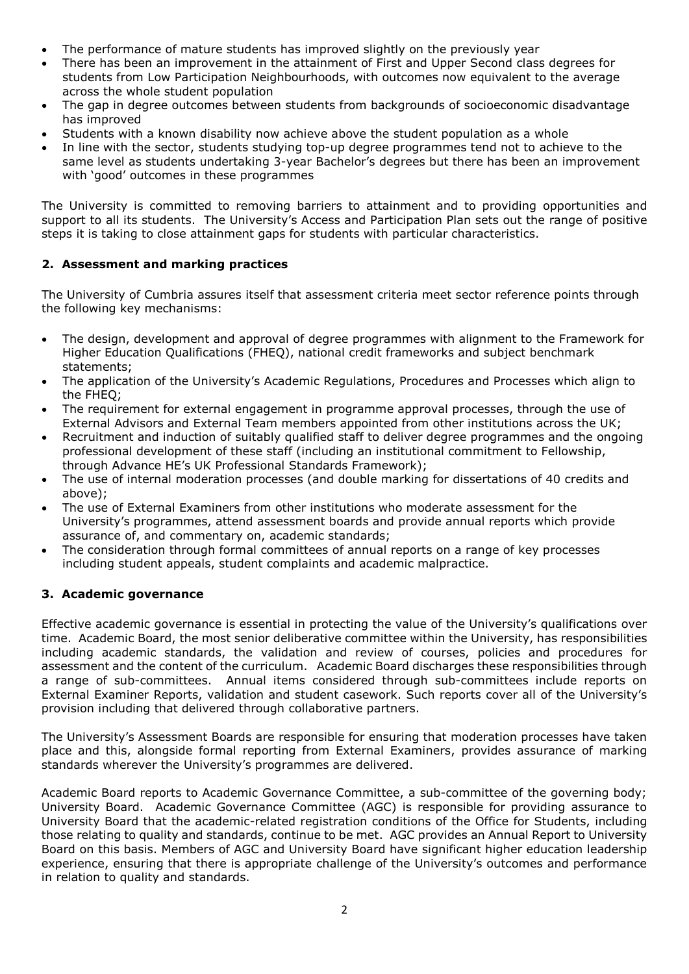- The performance of mature students has improved slightly on the previously year
- There has been an improvement in the attainment of First and Upper Second class degrees for students from Low Participation Neighbourhoods, with outcomes now equivalent to the average across the whole student population
- The gap in degree outcomes between students from backgrounds of socioeconomic disadvantage has improved
- Students with a known disability now achieve above the student population as a whole
- In line with the sector, students studying top-up degree programmes tend not to achieve to the same level as students undertaking 3-year Bachelor's degrees but there has been an improvement with 'good' outcomes in these programmes

The University is committed to removing barriers to attainment and to providing opportunities and support to all its students. The University's Access and Participation Plan sets out the range of positive steps it is taking to close attainment gaps for students with particular characteristics.

## **2. Assessment and marking practices**

The University of Cumbria assures itself that assessment criteria meet sector reference points through the following key mechanisms:

- The design, development and approval of degree programmes with alignment to the Framework for Higher Education Qualifications (FHEQ), national credit frameworks and subject benchmark statements;
- The application of the University's Academic Regulations, Procedures and Processes which align to the FHEQ;
- The requirement for external engagement in programme approval processes, through the use of External Advisors and External Team members appointed from other institutions across the UK;
- Recruitment and induction of suitably qualified staff to deliver degree programmes and the ongoing professional development of these staff (including an institutional commitment to Fellowship, through Advance HE's UK Professional Standards Framework);
- The use of internal moderation processes (and double marking for dissertations of 40 credits and above);
- The use of External Examiners from other institutions who moderate assessment for the University's programmes, attend assessment boards and provide annual reports which provide assurance of, and commentary on, academic standards;
- The consideration through formal committees of annual reports on a range of key processes including student appeals, student complaints and academic malpractice.

## **3. Academic governance**

Effective academic governance is essential in protecting the value of the University's qualifications over time. Academic Board, the most senior deliberative committee within the University, has responsibilities including academic standards, the validation and review of courses, policies and procedures for assessment and the content of the curriculum. Academic Board discharges these responsibilities through a range of sub-committees. Annual items considered through sub-committees include reports on External Examiner Reports, validation and student casework. Such reports cover all of the University's provision including that delivered through collaborative partners.

The University's Assessment Boards are responsible for ensuring that moderation processes have taken place and this, alongside formal reporting from External Examiners, provides assurance of marking standards wherever the University's programmes are delivered.

Academic Board reports to Academic Governance Committee, a sub-committee of the governing body; University Board. Academic Governance Committee (AGC) is responsible for providing assurance to University Board that the academic-related registration conditions of the Office for Students, including those relating to quality and standards, continue to be met. AGC provides an Annual Report to University Board on this basis. Members of AGC and University Board have significant higher education leadership experience, ensuring that there is appropriate challenge of the University's outcomes and performance in relation to quality and standards.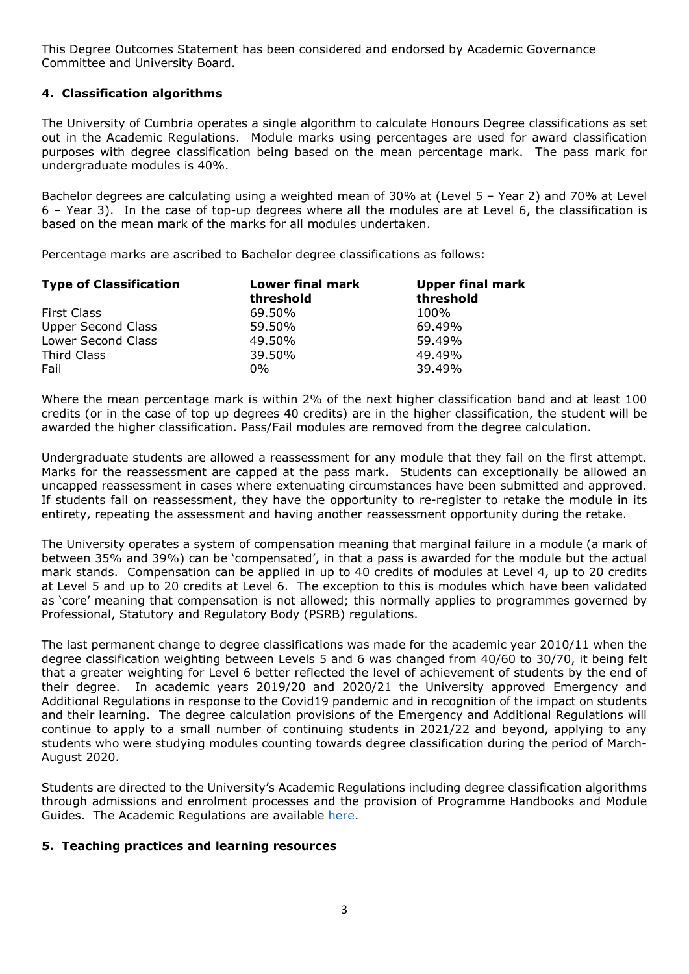This Degree Outcomes Statement has been considered and endorsed by Academic Governance Committee and University Board.

## **4. Classification algorithms**

The University of Cumbria operates a single algorithm to calculate Honours Degree classifications as set out in the Academic Regulations. Module marks using percentages are used for award classification purposes with degree classification being based on the mean percentage mark. The pass mark for undergraduate modules is 40%.

Bachelor degrees are calculating using a weighted mean of 30% at (Level 5 – Year 2) and 70% at Level 6 – Year 3). In the case of top-up degrees where all the modules are at Level 6, the classification is based on the mean mark of the marks for all modules undertaken.

Percentage marks are ascribed to Bachelor degree classifications as follows:

| <b>Type of Classification</b> | <b>Lower final mark</b> | <b>Upper final mark</b> |  |
|-------------------------------|-------------------------|-------------------------|--|
|                               | threshold               | threshold               |  |
| First Class                   | 69.50%                  | 100%                    |  |
| <b>Upper Second Class</b>     | 59.50%                  | 69.49%                  |  |
| Lower Second Class            | 49.50%                  | 59.49%                  |  |
| Third Class                   | 39.50%                  | 49.49%                  |  |
| Fail                          | $0\%$                   | 39.49%                  |  |

Where the mean percentage mark is within 2% of the next higher classification band and at least 100 credits (or in the case of top up degrees 40 credits) are in the higher classification, the student will be awarded the higher classification. Pass/Fail modules are removed from the degree calculation.

Undergraduate students are allowed a reassessment for any module that they fail on the first attempt. Marks for the reassessment are capped at the pass mark. Students can exceptionally be allowed an uncapped reassessment in cases where extenuating circumstances have been submitted and approved. If students fail on reassessment, they have the opportunity to re-register to retake the module in its entirety, repeating the assessment and having another reassessment opportunity during the retake.

The University operates a system of compensation meaning that marginal failure in a module (a mark of between 35% and 39%) can be 'compensated', in that a pass is awarded for the module but the actual mark stands. Compensation can be applied in up to 40 credits of modules at Level 4, up to 20 credits at Level 5 and up to 20 credits at Level 6. The exception to this is modules which have been validated as 'core' meaning that compensation is not allowed; this normally applies to programmes governed by Professional, Statutory and Regulatory Body (PSRB) regulations.

The last permanent change to degree classifications was made for the academic year 2010/11 when the degree classification weighting between Levels 5 and 6 was changed from 40/60 to 30/70, it being felt that a greater weighting for Level 6 better reflected the level of achievement of students by the end of their degree. In academic years 2019/20 and 2020/21 the University approved Emergency and Additional Regulations in response to the Covid19 pandemic and in recognition of the impact on students and their learning. The degree calculation provisions of the Emergency and Additional Regulations will continue to apply to a small number of continuing students in 2021/22 and beyond, applying to any students who were studying modules counting towards degree classification during the period of March-August 2020.

Students are directed to the University's Academic Regulations including degree classification algorithms through admissions and enrolment processes and the provision of Programme Handbooks and Module Guides. The Academic Regulations are available [here.](https://www.cumbria.ac.uk/about/organisation/professional-services/academic-quality-and-development/academic-regulations/)

## **5. Teaching practices and learning resources**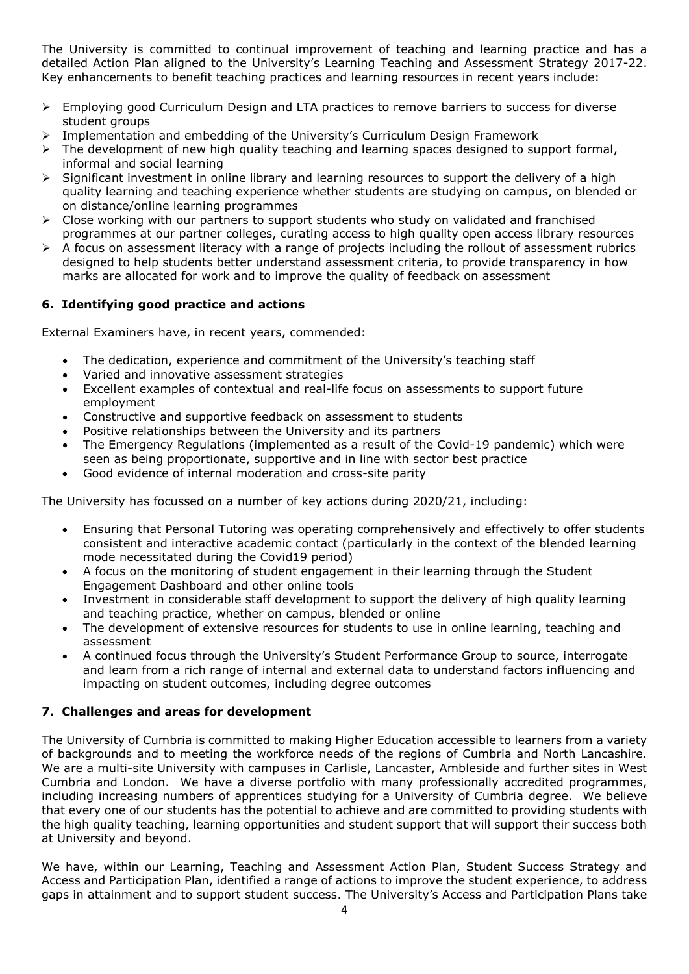The University is committed to continual improvement of teaching and learning practice and has a detailed Action Plan aligned to the University's Learning Teaching and Assessment Strategy 2017-22. Key enhancements to benefit teaching practices and learning resources in recent years include:

- Employing good Curriculum Design and LTA practices to remove barriers to success for diverse student groups
- Implementation and embedding of the University's Curriculum Design Framework
- The development of new high quality teaching and learning spaces designed to support formal, informal and social learning
- $\triangleright$  Significant investment in online library and learning resources to support the delivery of a high quality learning and teaching experience whether students are studying on campus, on blended or on distance/online learning programmes
- $\triangleright$  Close working with our partners to support students who study on validated and franchised programmes at our partner colleges, curating access to high quality open access library resources
- $\triangleright$  A focus on assessment literacy with a range of projects including the rollout of assessment rubrics designed to help students better understand assessment criteria, to provide transparency in how marks are allocated for work and to improve the quality of feedback on assessment

# **6. Identifying good practice and actions**

External Examiners have, in recent years, commended:

- The dedication, experience and commitment of the University's teaching staff
- Varied and innovative assessment strategies
- Excellent examples of contextual and real-life focus on assessments to support future employment
- Constructive and supportive feedback on assessment to students
- Positive relationships between the University and its partners
- The Emergency Regulations (implemented as a result of the Covid-19 pandemic) which were seen as being proportionate, supportive and in line with sector best practice
- Good evidence of internal moderation and cross-site parity

The University has focussed on a number of key actions during 2020/21, including:

- Ensuring that Personal Tutoring was operating comprehensively and effectively to offer students consistent and interactive academic contact (particularly in the context of the blended learning mode necessitated during the Covid19 period)
- A focus on the monitoring of student engagement in their learning through the Student Engagement Dashboard and other online tools
- Investment in considerable staff development to support the delivery of high quality learning and teaching practice, whether on campus, blended or online
- The development of extensive resources for students to use in online learning, teaching and assessment
- A continued focus through the University's Student Performance Group to source, interrogate and learn from a rich range of internal and external data to understand factors influencing and impacting on student outcomes, including degree outcomes

## **7. Challenges and areas for development**

The University of Cumbria is committed to making Higher Education accessible to learners from a variety of backgrounds and to meeting the workforce needs of the regions of Cumbria and North Lancashire. We are a multi-site University with campuses in Carlisle, Lancaster, Ambleside and further sites in West Cumbria and London. We have a diverse portfolio with many professionally accredited programmes, including increasing numbers of apprentices studying for a University of Cumbria degree. We believe that every one of our students has the potential to achieve and are committed to providing students with the high quality teaching, learning opportunities and student support that will support their success both at University and beyond.

We have, within our Learning, Teaching and Assessment Action Plan, Student Success Strategy and Access and Participation Plan, identified a range of actions to improve the student experience, to address gaps in attainment and to support student success. The University's Access and Participation Plans take